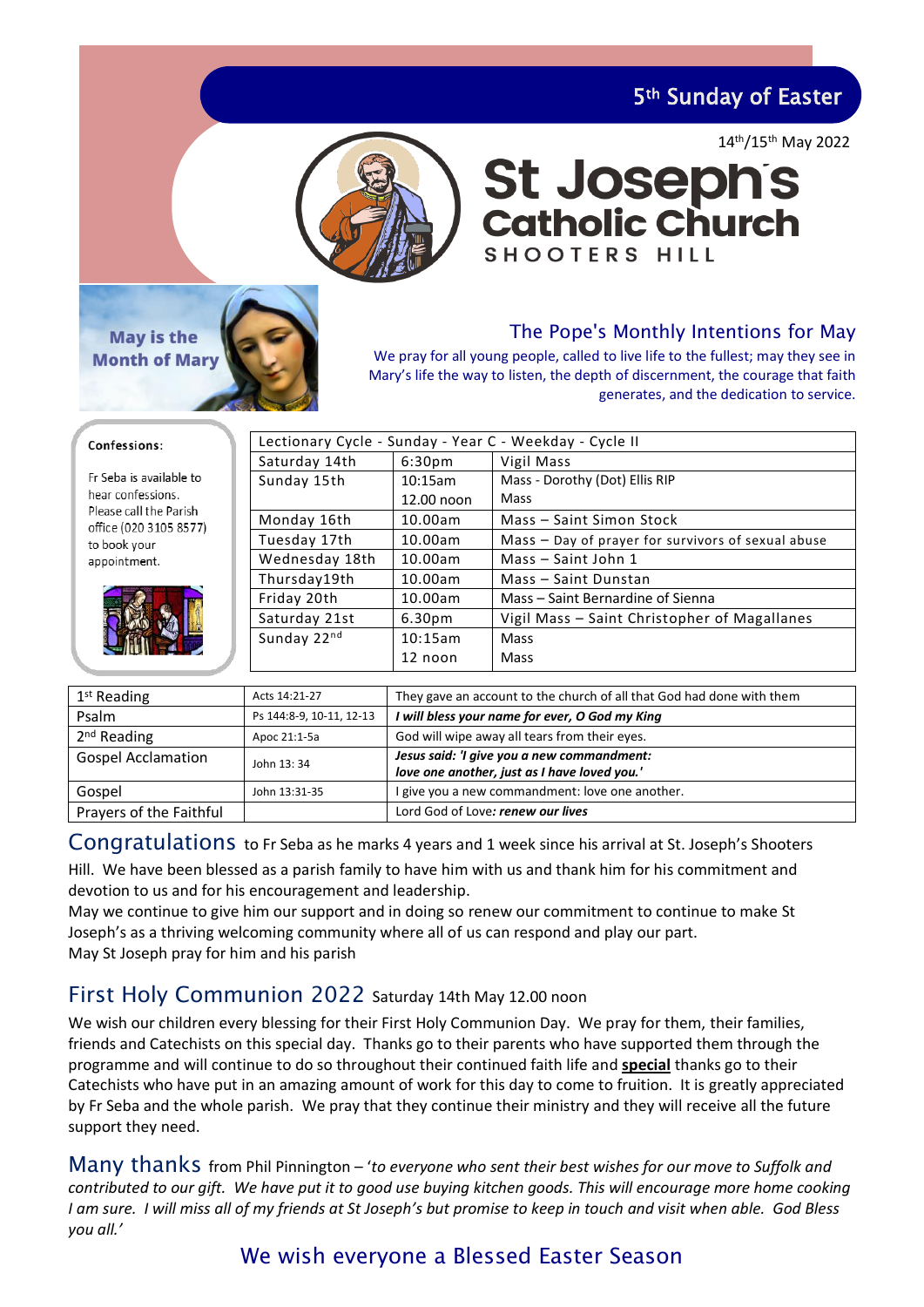5th Sunday of Easter

14th/15th May 2022



# **St Josephs**<br>Catholic Church **SHOOTERS HILL**



## The Pope's Monthly Intentions for May

We pray for all young people, called to live life to the fullest; may they see in Mary's life the way to listen, the depth of discernment, the courage that faith generates, and the dedication to service.

|  | Confessions: |  |
|--|--------------|--|
|  |              |  |

Fr Seba is available to hear confessions Please call the Parish office (020 3105 8577) to book your appointment.

| Lectionary Cycle - Sunday - Year C - Weekday - Cycle II |                    |                                                    |  |
|---------------------------------------------------------|--------------------|----------------------------------------------------|--|
| Saturday 14th                                           | 6:30 <sub>pm</sub> | Vigil Mass                                         |  |
| Sunday 15th<br>10:15am                                  |                    | Mass - Dorothy (Dot) Ellis RIP                     |  |
|                                                         | 12.00 noon         | Mass                                               |  |
| Monday 16th                                             | 10.00am            | Mass - Saint Simon Stock                           |  |
| Tuesday 17th                                            | 10.00am            | Mass - Day of prayer for survivors of sexual abuse |  |
| Wednesday 18th                                          | 10.00am            | Mass - Saint John 1                                |  |
| Thursday19th                                            | 10.00am            | Mass - Saint Dunstan                               |  |
| Friday 20th                                             | 10.00am            | Mass – Saint Bernardine of Sienna                  |  |
| Saturday 21st                                           | 6.30 <sub>pm</sub> | Vigil Mass - Saint Christopher of Magallanes       |  |
| Sunday 22nd                                             | 10:15am            | Mass                                               |  |
|                                                         | 12 noon            | Mass                                               |  |

| 1 <sup>st</sup> Reading   | Acts 14:21-27            | They gave an account to the church of all that God had done with them                      |
|---------------------------|--------------------------|--------------------------------------------------------------------------------------------|
| Psalm                     | Ps 144:8-9, 10-11, 12-13 | I will bless your name for ever, O God my King                                             |
| 2 <sup>nd</sup> Reading   | Apoc 21:1-5a             | God will wipe away all tears from their eyes.                                              |
| <b>Gospel Acclamation</b> | John 13: 34              | Jesus said: 'I give you a new commandment:<br>love one another, just as I have loved you.' |
| Gospel                    | John 13:31-35            | I give you a new commandment: love one another.                                            |
| Prayers of the Faithful   |                          | Lord God of Love: renew our lives                                                          |

Congratulations to Fr Seba as he marks 4 years and 1 week since his arrival at St. Joseph's Shooters

Hill. We have been blessed as a parish family to have him with us and thank him for his commitment and devotion to us and for his encouragement and leadership.

May we continue to give him our support and in doing so renew our commitment to continue to make St Joseph's as a thriving welcoming community where all of us can respond and play our part. May St Joseph pray for him and his parish

## First Holy Communion 2022 Saturday 14th May 12.00 noon

We wish our children every blessing for their First Holy Communion Day. We pray for them, their families, friends and Catechists on this special day. Thanks go to their parents who have supported them through the programme and will continue to do so throughout their continued faith life and **special** thanks go to their Catechists who have put in an amazing amount of work for this day to come to fruition. It is greatly appreciated by Fr Seba and the whole parish. We pray that they continue their ministry and they will receive all the future support they need.

Many thanks from Phil Pinnington – '*to everyone who sent their best wishes for our move to Suffolk and contributed to our gift. We have put it to good use buying kitchen goods. This will encourage more home cooking I am sure. I will miss all of my friends at St Joseph's but promise to keep in touch and visit when able. God Bless you all.'*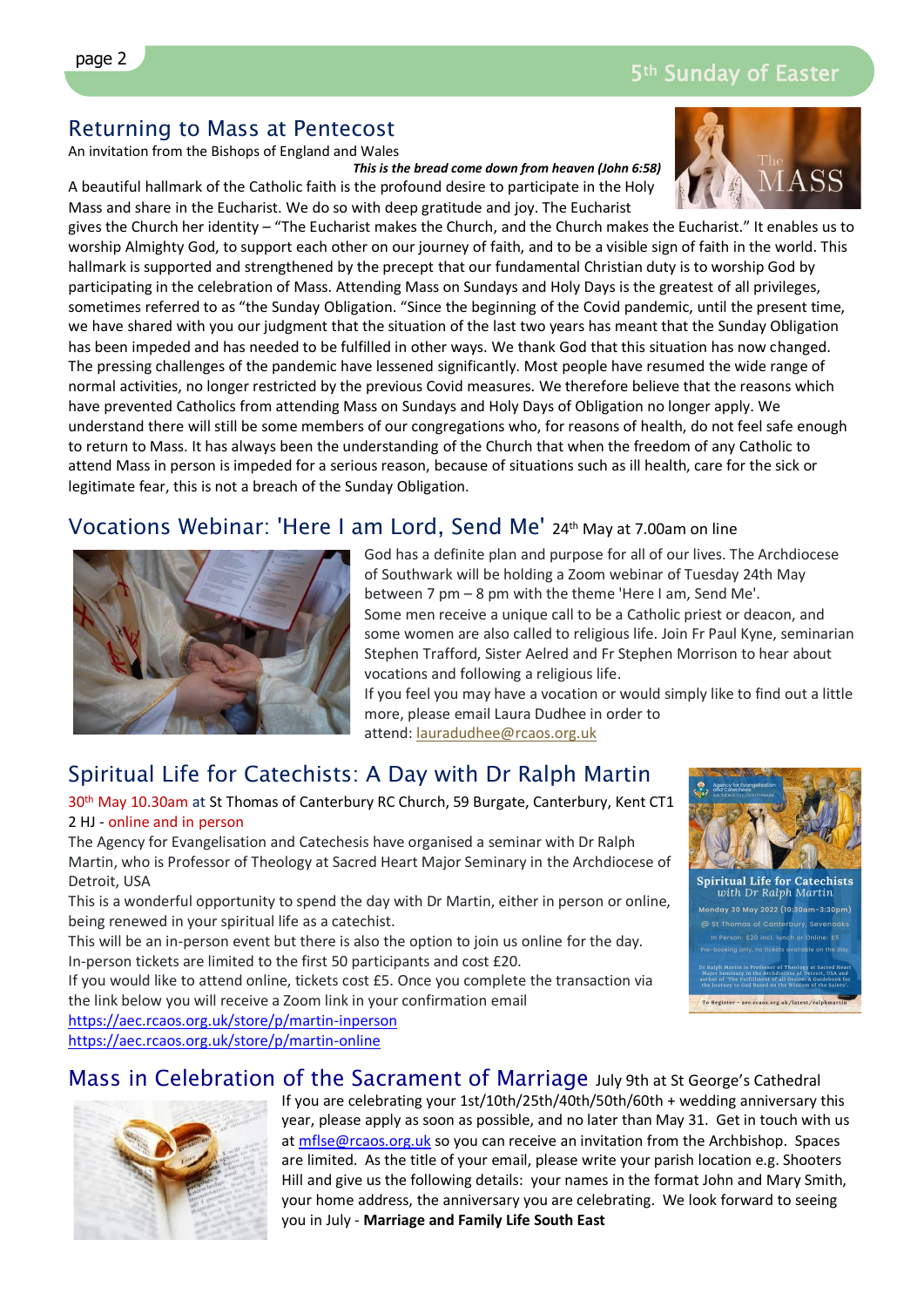# Returning to Mass at Pentecost

An invitation from the Bishops of England and Wales

*This is the bread come down from heaven (John 6:58)* A beautiful hallmark of the Catholic faith is the profound desire to participate in the Holy Mass and share in the Eucharist. We do so with deep gratitude and joy. The Eucharist

gives the Church her identity – "The Eucharist makes the Church, and the Church makes the Eucharist." It enables us to worship Almighty God, to support each other on our journey of faith, and to be a visible sign of faith in the world. This hallmark is supported and strengthened by the precept that our fundamental Christian duty is to worship God by participating in the celebration of Mass. Attending Mass on Sundays and Holy Days is the greatest of all privileges, sometimes referred to as "the Sunday Obligation. "Since the beginning of the Covid pandemic, until the present time, we have shared with you our judgment that the situation of the last two years has meant that the Sunday Obligation has been impeded and has needed to be fulfilled in other ways. We thank God that this situation has now changed. The pressing challenges of the pandemic have lessened significantly. Most people have resumed the wide range of normal activities, no longer restricted by the previous Covid measures. We therefore believe that the reasons which have prevented Catholics from attending Mass on Sundays and Holy Days of Obligation no longer apply. We understand there will still be some members of our congregations who, for reasons of health, do not feel safe enough to return to Mass. It has always been the understanding of the Church that when the freedom of any Catholic to attend Mass in person is impeded for a serious reason, because of situations such as ill health, care for the sick or legitimate fear, this is not a breach of the Sunday Obligation.

# Vocations Webinar: 'Here I am Lord, Send Me' 24th May at 7.00am on line



God has a definite plan and purpose for all of our lives. The Archdiocese of Southwark will be holding a Zoom webinar of Tuesday 24th May between 7 pm – 8 pm with the theme 'Here I am, Send Me'. Some men receive a unique call to be a Catholic priest or deacon, and some women are also called to religious life. Join Fr Paul Kyne, seminarian Stephen Trafford, Sister Aelred and Fr Stephen Morrison to hear about vocations and following a religious life.

If you feel you may have a vocation or would simply like to find out a little more, please email Laura Dudhee in order to attend: [lauradudhee@rcaos.org.uk](mailto:lauradudhee@rcaos.org.uk)

# Spiritual Life for Catechists: A Day with Dr Ralph Martin

30<sup>th</sup> May 10.30am at St Thomas of Canterbury RC Church, 59 Burgate, Canterbury, Kent CT1 2 HJ - online and in person

The Agency for Evangelisation and Catechesis have organised a seminar with Dr Ralph Martin, who is Professor of Theology at Sacred Heart Major Seminary in the Archdiocese of Detroit, USA

This is a wonderful opportunity to spend the day with Dr Martin, either in person or online, being renewed in your spiritual life as a catechist.

This will be an in-person event but there is also the option to join us online for the day. In-person tickets are limited to the first 50 participants and cost £20.

If you would like to attend online, tickets cost £5. Once you complete the transaction via the link below you will receive a Zoom link in your confirmation email

<https://aec.rcaos.org.uk/store/p/martin-inperson>

<https://aec.rcaos.org.uk/store/p/martin-online>



Spiritual Life for Catechists<br>with Dr Ralph Martin iday 30 May 2022 (10:30am-3:30pm) To Register - aec.rcaos.org.uk/latest/ralphm



Mass in Celebration of the Sacrament of Marriage July 9th at St George's Cathedral If you are celebrating your 1st/10th/25th/40th/50th/60th + wedding anniversary this year, please apply as soon as possible, and no later than May 31. Get in touch with us a[t mflse@rcaos.org.uk](mailto:mflse@rcaos.org.uk) so you can receive an invitation from the Archbishop. Spaces are limited. As the title of your email, please write your parish location e.g. Shooters Hill and give us the following details: your names in the format John and Mary Smith, your home address, the anniversary you are celebrating. We look forward to seeing you in July - **Marriage and Family Life South East**

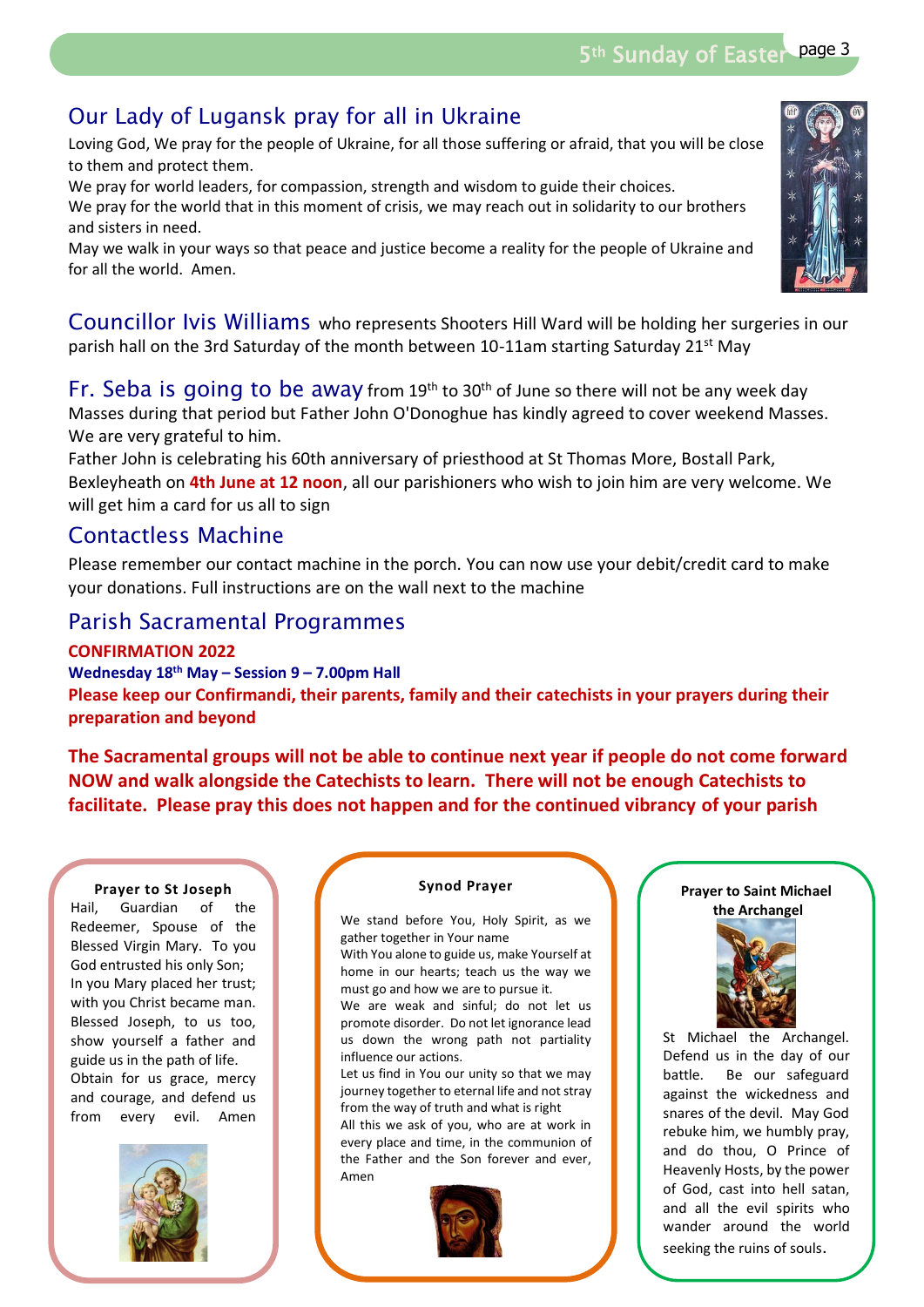# Our Lady of Lugansk pray for all in Ukraine

Loving God, We pray for the people of Ukraine, for all those suffering or afraid, that you will be close to them and protect them.

We pray for world leaders, for compassion, strength and wisdom to guide their choices. We pray for the world that in this moment of crisis, we may reach out in solidarity to our brothers and sisters in need.

May we walk in your ways so that peace and justice become a reality for the people of Ukraine and for all the world. Amen.

Councillor Ivis Williams who represents Shooters Hill Ward will be holding her surgeries in our parish hall on the 3rd Saturday of the month between 10-11am starting Saturday 21<sup>st</sup> May

Fr. Seba is going to be away from  $19<sup>th</sup>$  to  $30<sup>th</sup>$  of June so there will not be any week day Masses during that period but Father John O'Donoghue has kindly agreed to cover weekend Masses. We are very grateful to him.

Father John is celebrating his 60th anniversary of priesthood at St Thomas More, Bostall Park, Bexleyheath on **4th June at 12 noon**, all our parishioners who wish to join him are very welcome. We will get him a card for us all to sign

## Contactless Machine

Please remember our contact machine in the porch. You can now use your debit/credit card to make your donations. Full instructions are on the wall next to the machine

## Parish Sacramental Programmes

**CONFIRMATION 2022**

**Wednesday 18th May – Session 9 – 7.00pm Hall Please keep our Confirmandi, their parents, family and their catechists in your prayers during their preparation and beyond**

**The Sacramental groups will not be able to continue next year if people do not come forward NOW and walk alongside the Catechists to learn. There will not be enough Catechists to facilitate. Please pray this does not happen and for the continued vibrancy of your parish** 

#### **Prayer to St Joseph**

Guardian of the Redeemer, Spouse of the Blessed Virgin Mary. To you God entrusted his only Son; In you Mary placed her trust; with you Christ became man. Blessed Joseph, to us too, show yourself a father and guide us in the path of life. Obtain for us grace, mercy and courage, and defend us<br>from event ovil Amon from every evil. Amen Hail



#### **Synod Prayer**

We stand before You, Holy Spirit, as we gather together in Your name

With You alone to guide us, make Yourself at home in our hearts; teach us the way we must go and how we are to pursue it.

We are weak and sinful; do not let us promote disorder. Do not let ignorance lead us down the wrong path not partiality influence our actions.

Let us find in You our unity so that we may journey together to eternal life and not stray from the way of truth and what is right

All this we ask of you, who are at work in every place and time, in the communion of the Father and the Son forever and ever, Amen







St Michael the Archangel. Defend us in the day of our battle. Be our safeguard against the wickedness and snares of the devil. May God rebuke him, we humbly pray, and do thou, O Prince of Heavenly Hosts, by the power of God, cast into hell satan, and all the evil spirits who wander around the world seeking the ruins of souls.